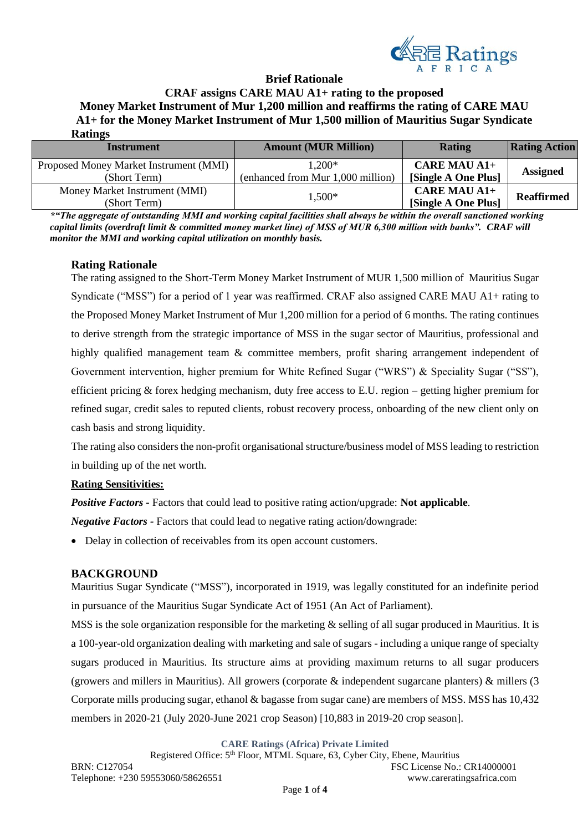

#### **Brief Rationale**

**CRAF assigns CARE MAU A1+ rating to the proposed Money Market Instrument of Mur 1,200 million and reaffirms the rating of CARE MAU A1+ for the Money Market Instrument of Mur 1,500 million of Mauritius Sugar Syndicate Ratings**

| <b>Instrument</b>                      | <b>Amount (MUR Million)</b>       | <b>Rating</b>       | <b>Rating Action</b> |  |
|----------------------------------------|-----------------------------------|---------------------|----------------------|--|
| Proposed Money Market Instrument (MMI) | $1,200*$                          | <b>CARE MAU A1+</b> |                      |  |
| (Short Term)                           | (enhanced from Mur 1,000 million) | [Single A One Plus] | <b>Assigned</b>      |  |
| Money Market Instrument (MMI)          | $1,500*$                          | <b>CARE MAU A1+</b> | <b>Reaffirmed</b>    |  |
| (Short Term)                           |                                   | [Single A One Plus] |                      |  |

*\*"The aggregate of outstanding MMI and working capital facilities shall always be within the overall sanctioned working capital limits (overdraft limit & committed money market line) of MSS of MUR 6,300 million with banks". CRAF will monitor the MMI and working capital utilization on monthly basis.* 

# **Rating Rationale**

The rating assigned to the Short-Term Money Market Instrument of MUR 1,500 million of Mauritius Sugar Syndicate ("MSS") for a period of 1 year was reaffirmed. CRAF also assigned CARE MAU A1+ rating to the Proposed Money Market Instrument of Mur 1,200 million for a period of 6 months. The rating continues to derive strength from the strategic importance of MSS in the sugar sector of Mauritius, professional and highly qualified management team & committee members, profit sharing arrangement independent of Government intervention, higher premium for White Refined Sugar ("WRS") & Speciality Sugar ("SS"), efficient pricing  $\&$  forex hedging mechanism, duty free access to E.U. region – getting higher premium for refined sugar, credit sales to reputed clients, robust recovery process, onboarding of the new client only on cash basis and strong liquidity.

The rating also considers the non-profit organisational structure/business model of MSS leading to restriction in building up of the net worth.

# **Rating Sensitivities:**

*Positive Factors -* Factors that could lead to positive rating action/upgrade: **Not applicable***.*

*Negative Factors -* Factors that could lead to negative rating action/downgrade:

• Delay in collection of receivables from its open account customers.

#### **BACKGROUND**

Mauritius Sugar Syndicate ("MSS"), incorporated in 1919, was legally constituted for an indefinite period in pursuance of the Mauritius Sugar Syndicate Act of 1951 (An Act of Parliament).

MSS is the sole organization responsible for the marketing & selling of all sugar produced in Mauritius. It is a 100-year-old organization dealing with marketing and sale of sugars - including a unique range of specialty sugars produced in Mauritius. Its structure aims at providing maximum returns to all sugar producers (growers and millers in Mauritius). All growers (corporate & independent sugarcane planters) & millers (3 Corporate mills producing sugar, ethanol & bagasse from sugar cane) are members of MSS. MSS has 10,432 members in 2020-21 (July 2020-June 2021 crop Season) [10,883 in 2019-20 crop season].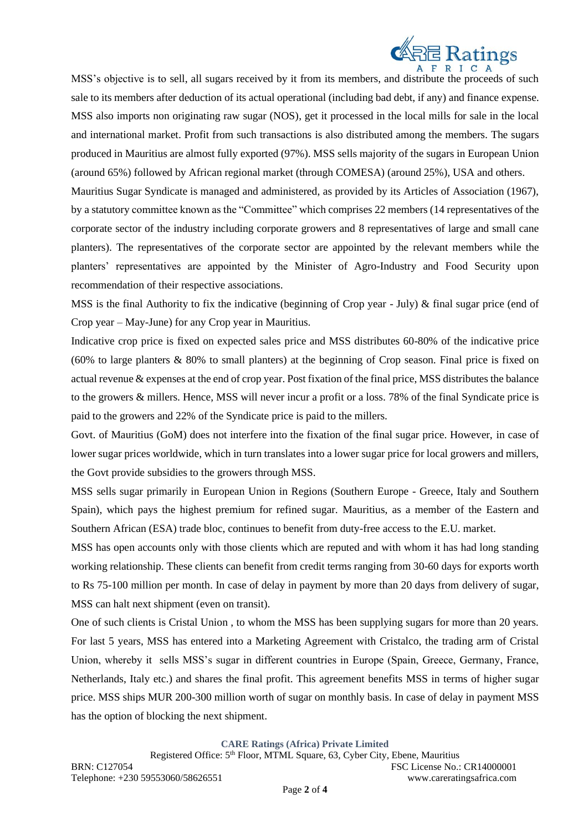

MSS's objective is to sell, all sugars received by it from its members, and distribute the proceeds of such sale to its members after deduction of its actual operational (including bad debt, if any) and finance expense. MSS also imports non originating raw sugar (NOS), get it processed in the local mills for sale in the local and international market. Profit from such transactions is also distributed among the members. The sugars produced in Mauritius are almost fully exported (97%). MSS sells majority of the sugars in European Union (around 65%) followed by African regional market (through COMESA) (around 25%), USA and others. Mauritius Sugar Syndicate is managed and administered, as provided by its Articles of Association (1967), by a statutory committee known as the "Committee" which comprises 22 members (14 representatives of the corporate sector of the industry including corporate growers and 8 representatives of large and small cane planters). The representatives of the corporate sector are appointed by the relevant members while the planters' representatives are appointed by the Minister of Agro-Industry and Food Security upon recommendation of their respective associations.

MSS is the final Authority to fix the indicative (beginning of Crop year - July) & final sugar price (end of Crop year – May-June) for any Crop year in Mauritius.

Indicative crop price is fixed on expected sales price and MSS distributes 60-80% of the indicative price (60% to large planters & 80% to small planters) at the beginning of Crop season. Final price is fixed on actual revenue & expenses at the end of crop year. Post fixation of the final price, MSS distributes the balance to the growers & millers. Hence, MSS will never incur a profit or a loss. 78% of the final Syndicate price is paid to the growers and 22% of the Syndicate price is paid to the millers.

Govt. of Mauritius (GoM) does not interfere into the fixation of the final sugar price. However, in case of lower sugar prices worldwide, which in turn translates into a lower sugar price for local growers and millers, the Govt provide subsidies to the growers through MSS.

MSS sells sugar primarily in European Union in Regions (Southern Europe - Greece, Italy and Southern Spain), which pays the highest premium for refined sugar. Mauritius, as a member of the Eastern and Southern African (ESA) trade bloc, continues to benefit from duty-free access to the E.U. market.

MSS has open accounts only with those clients which are reputed and with whom it has had long standing working relationship. These clients can benefit from credit terms ranging from 30-60 days for exports worth to Rs 75-100 million per month. In case of delay in payment by more than 20 days from delivery of sugar, MSS can halt next shipment (even on transit).

One of such clients is Cristal Union , to whom the MSS has been supplying sugars for more than 20 years. For last 5 years, MSS has entered into a Marketing Agreement with Cristalco, the trading arm of Cristal Union, whereby it sells MSS's sugar in different countries in Europe (Spain, Greece, Germany, France, Netherlands, Italy etc.) and shares the final profit. This agreement benefits MSS in terms of higher sugar price. MSS ships MUR 200-300 million worth of sugar on monthly basis. In case of delay in payment MSS has the option of blocking the next shipment.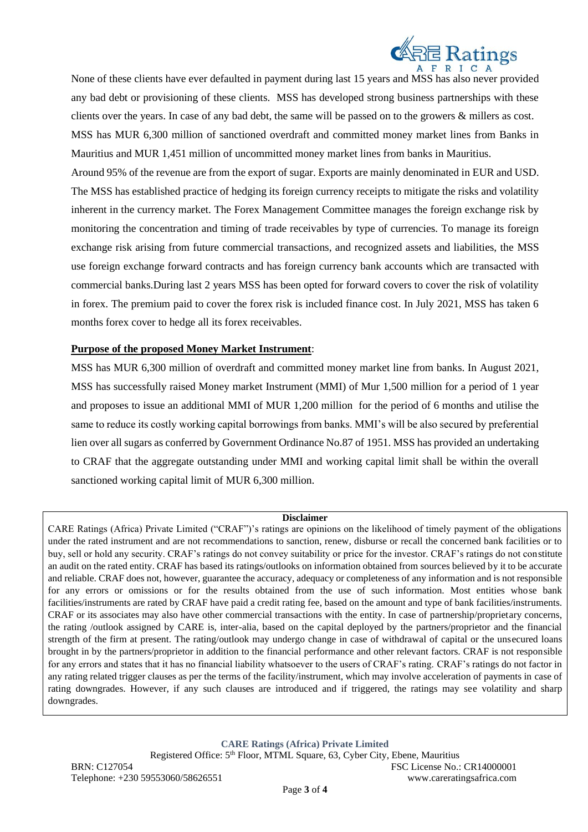

None of these clients have ever defaulted in payment during last 15 years and MSS has also never provided any bad debt or provisioning of these clients. MSS has developed strong business partnerships with these clients over the years. In case of any bad debt, the same will be passed on to the growers & millers as cost. MSS has MUR 6,300 million of sanctioned overdraft and committed money market lines from Banks in Mauritius and MUR 1,451 million of uncommitted money market lines from banks in Mauritius. Around 95% of the revenue are from the export of sugar. Exports are mainly denominated in EUR and USD. The MSS has established practice of hedging its foreign currency receipts to mitigate the risks and volatility inherent in the currency market. The Forex Management Committee manages the foreign exchange risk by monitoring the concentration and timing of trade receivables by type of currencies. To manage its foreign exchange risk arising from future commercial transactions, and recognized assets and liabilities, the MSS use foreign exchange forward contracts and has foreign currency bank accounts which are transacted with commercial banks.During last 2 years MSS has been opted for forward covers to cover the risk of volatility in forex. The premium paid to cover the forex risk is included finance cost. In July 2021, MSS has taken 6 months forex cover to hedge all its forex receivables.

## **Purpose of the proposed Money Market Instrument**:

MSS has MUR 6,300 million of overdraft and committed money market line from banks. In August 2021, MSS has successfully raised Money market Instrument (MMI) of Mur 1,500 million for a period of 1 year and proposes to issue an additional MMI of MUR 1,200 million for the period of 6 months and utilise the same to reduce its costly working capital borrowings from banks. MMI's will be also secured by preferential lien over all sugars as conferred by Government Ordinance No.87 of 1951. MSS has provided an undertaking to CRAF that the aggregate outstanding under MMI and working capital limit shall be within the overall sanctioned working capital limit of MUR 6,300 million.

#### **Disclaimer**

CARE Ratings (Africa) Private Limited ("CRAF")'s ratings are opinions on the likelihood of timely payment of the obligations under the rated instrument and are not recommendations to sanction, renew, disburse or recall the concerned bank facilities or to buy, sell or hold any security. CRAF's ratings do not convey suitability or price for the investor. CRAF's ratings do not constitute an audit on the rated entity. CRAF has based its ratings/outlooks on information obtained from sources believed by it to be accurate and reliable. CRAF does not, however, guarantee the accuracy, adequacy or completeness of any information and is not responsible for any errors or omissions or for the results obtained from the use of such information. Most entities whose bank facilities/instruments are rated by CRAF have paid a credit rating fee, based on the amount and type of bank facilities/instruments. CRAF or its associates may also have other commercial transactions with the entity. In case of partnership/proprietary concerns, the rating /outlook assigned by CARE is, inter-alia, based on the capital deployed by the partners/proprietor and the financial strength of the firm at present. The rating/outlook may undergo change in case of withdrawal of capital or the unsecured loans brought in by the partners/proprietor in addition to the financial performance and other relevant factors. CRAF is not responsible for any errors and states that it has no financial liability whatsoever to the users of CRAF's rating. CRAF's ratings do not factor in any rating related trigger clauses as per the terms of the facility/instrument, which may involve acceleration of payments in case of rating downgrades. However, if any such clauses are introduced and if triggered, the ratings may see volatility and sharp downgrades.